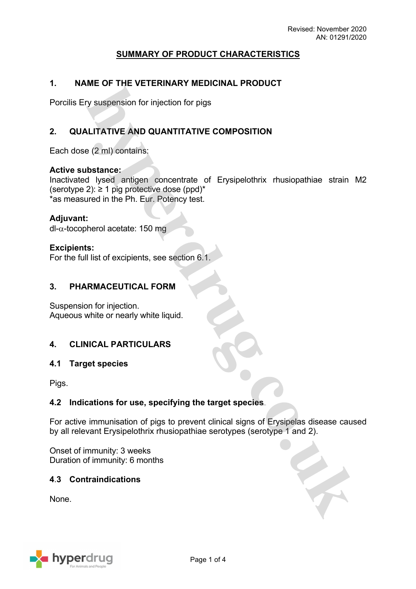# **SUMMARY OF PRODUCT CHARACTERISTICS**

## **1. NAME OF THE VETERINARY MEDICINAL PRODUCT**

Porcilis Ery suspension for injection for pigs

## **2. QUALITATIVE AND QUANTITATIVE COMPOSITION**

Each dose (2 ml) contains:

### **Active substance:**

Inactivated lysed antigen concentrate of Erysipelothrix rhusiopathiae strain M2 (serotype 2):  $\geq 1$  pig protective dose (ppd)\* \*as measured in the Ph. Eur. Potency test.

### **Adjuvant:**

 $dl-\alpha$ -tocopherol acetate: 150 mg

### **Excipients:**

For the full list of excipients, see section 6.1.

## **3. PHARMACEUTICAL FORM**

Suspension for injection. Aqueous white or nearly white liquid.

## **4. CLINICAL PARTICULARS**

### **4.1 Target species**

Pigs.

### **4.2 Indications for use, specifying the target species**

For active immunisation of pigs to prevent clinical signs of Erysipelas disease caused by all relevant Erysipelothrix rhusiopathiae serotypes (serotype 1 and 2).

Onset of immunity: 3 weeks Duration of immunity: 6 months

### **4**.**3 Contraindications**

None.

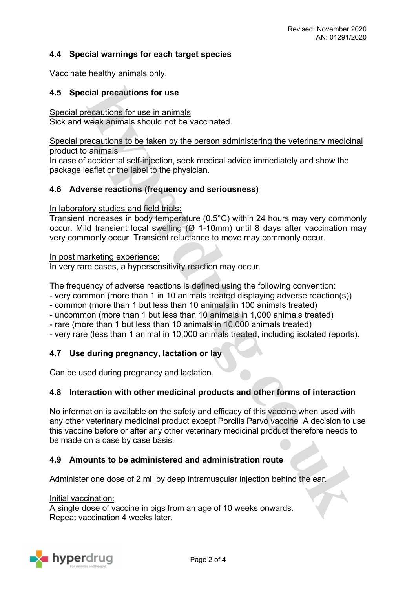## **4.4 Special warnings for each target species**

Vaccinate healthy animals only.

## **4.5 Special precautions for use**

Special precautions for use in animals Sick and weak animals should not be vaccinated.

Special precautions to be taken by the person administering the veterinary medicinal product to animals

In case of accidental self-injection, seek medical advice immediately and show the package leaflet or the label to the physician.

### **4.6 Adverse reactions (frequency and seriousness)**

In laboratory studies and field trials:

Transient increases in body temperature (0.5°C) within 24 hours may very commonly occur. Mild transient local swelling (Ø 1-10mm) until 8 days after vaccination may very commonly occur. Transient reluctance to move may commonly occur.

In post marketing experience:

In very rare cases, a hypersensitivity reaction may occur.

The frequency of adverse reactions is defined using the following convention:

- very common (more than 1 in 10 animals treated displaying adverse reaction(s))

- common (more than 1 but less than 10 animals in 100 animals treated)
- uncommon (more than 1 but less than 10 animals in 1,000 animals treated)
- rare (more than 1 but less than 10 animals in 10,000 animals treated)
- very rare (less than 1 animal in 10,000 animals treated, including isolated reports).

## **4.7 Use during pregnancy, lactation or lay**

Can be used during pregnancy and lactation.

### **4.8 Interaction with other medicinal products and other forms of interaction**

No information is available on the safety and efficacy of this vaccine when used with any other veterinary medicinal product except Porcilis Parvo vaccine A decision to use this vaccine before or after any other veterinary medicinal product therefore needs to be made on a case by case basis.

### **4.9 Amounts to be administered and administration route**

Administer one dose of 2 ml by deep intramuscular injection behind the ear.

#### Initial vaccination:

A single dose of vaccine in pigs from an age of 10 weeks onwards. Repeat vaccination 4 weeks later.

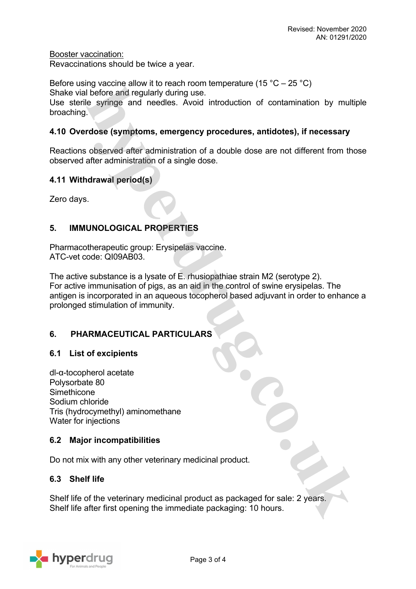Booster vaccination:

Revaccinations should be twice a year.

Before using vaccine allow it to reach room temperature (15  $^{\circ}$ C – 25  $^{\circ}$ C) Shake vial before and regularly during use.

Use sterile syringe and needles. Avoid introduction of contamination by multiple broaching.

## **4.10 Overdose (symptoms, emergency procedures, antidotes), if necessary**

Reactions observed after administration of a double dose are not different from those observed after administration of a single dose.

## **4.11 Withdrawal period(s)**

Zero days.

## **5. IMMUNOLOGICAL PROPERTIES**

Pharmacotherapeutic group: Erysipelas vaccine. ATC-vet code: QI09AB03.

The active substance is a lysate of E. rhusiopathiae strain M2 (serotype 2). For active immunisation of pigs, as an aid in the control of swine erysipelas. The antigen is incorporated in an aqueous tocopherol based adjuvant in order to enhance a prolonged stimulation of immunity.

## **6. PHARMACEUTICAL PARTICULARS**

### **6.1 List of excipients**

dl-α-tocopherol acetate Polysorbate 80 **Simethicone** Sodium chloride Tris (hydrocymethyl) aminomethane Water for injections

## **6.2 Major incompatibilities**

Do not mix with any other veterinary medicinal product.

## **6.3 Shelf life**

Shelf life of the veterinary medicinal product as packaged for sale: 2 years. Shelf life after first opening the immediate packaging: 10 hours.